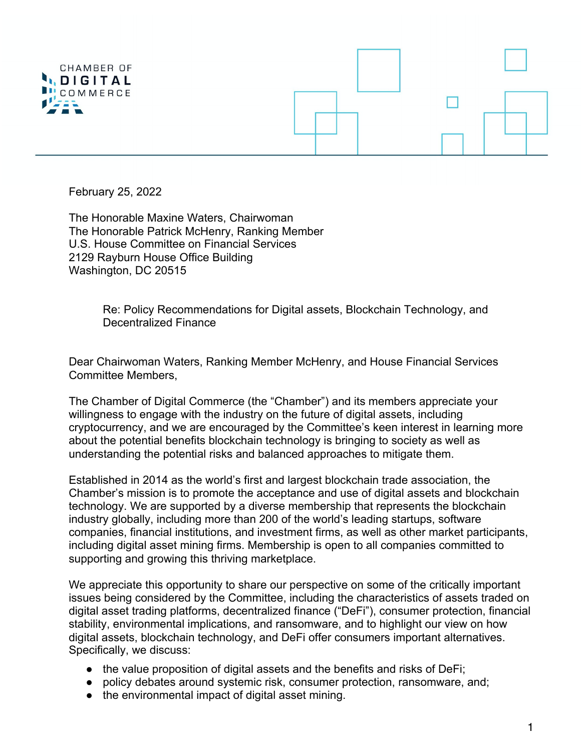

February 25, 2022

The Honorable Maxine Waters, Chairwoman The Honorable Patrick McHenry, Ranking Member U.S. House Committee on Financial Services 2129 Rayburn House Office Building Washington, DC 20515

> Re: Policy Recommendations for Digital assets, Blockchain Technology, and Decentralized Finance

Dear Chairwoman Waters, Ranking Member McHenry, and House Financial Services Committee Members,

The Chamber of Digital Commerce (the "Chamber") and its members appreciate your willingness to engage with the industry on the future of digital assets, including cryptocurrency, and we are encouraged by the Committee's keen interest in learning more about the potential benefits blockchain technology is bringing to society as well as understanding the potential risks and balanced approaches to mitigate them.

Established in 2014 as the world's first and largest blockchain trade association, the Chamber's mission is to promote the acceptance and use of digital assets and blockchain technology. We are supported by a diverse membership that represents the blockchain industry globally, including more than 200 of the world's leading startups, software companies, financial institutions, and investment firms, as well as other market participants, including digital asset mining firms. Membership is open to all companies committed to supporting and growing this thriving marketplace.

We appreciate this opportunity to share our perspective on some of the critically important issues being considered by the Committee, including the characteristics of assets traded on digital asset trading platforms, decentralized finance ("DeFi"), consumer protection, financial stability, environmental implications, and ransomware, and to highlight our view on how digital assets, blockchain technology, and DeFi offer consumers important alternatives. Specifically, we discuss:

- the value proposition of digital assets and the benefits and risks of DeFi;
- policy debates around systemic risk, consumer protection, ransomware, and;
- the environmental impact of digital asset mining.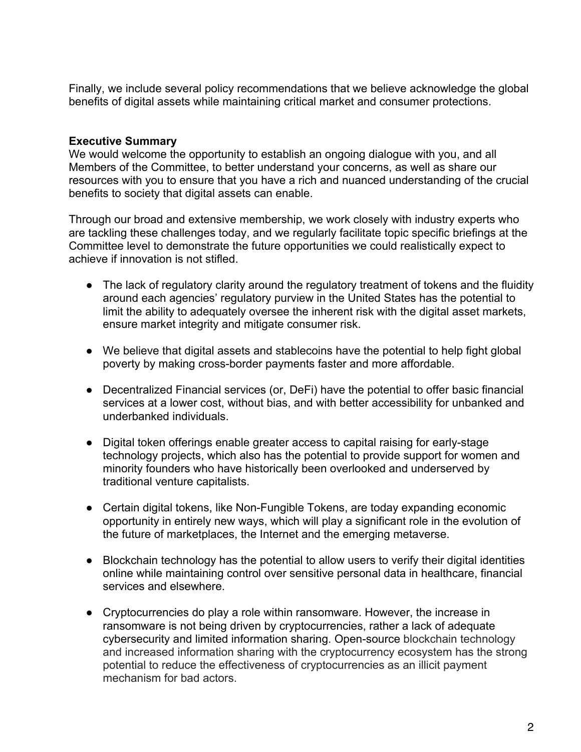Finally, we include several policy recommendations that we believe acknowledge the global benefits of digital assets while maintaining critical market and consumer protections.

#### **Executive Summary**

We would welcome the opportunity to establish an ongoing dialogue with you, and all Members of the Committee, to better understand your concerns, as well as share our resources with you to ensure that you have a rich and nuanced understanding of the crucial benefits to society that digital assets can enable.

Through our broad and extensive membership, we work closely with industry experts who are tackling these challenges today, and we regularly facilitate topic specific briefings at the Committee level to demonstrate the future opportunities we could realistically expect to achieve if innovation is not stifled.

- The lack of regulatory clarity around the regulatory treatment of tokens and the fluidity around each agencies' regulatory purview in the United States has the potential to limit the ability to adequately oversee the inherent risk with the digital asset markets, ensure market integrity and mitigate consumer risk.
- We believe that digital assets and stablecoins have the potential to help fight global poverty by making cross-border payments faster and more affordable.
- Decentralized Financial services (or, DeFi) have the potential to offer basic financial services at a lower cost, without bias, and with better accessibility for unbanked and underbanked individuals.
- Digital token offerings enable greater access to capital raising for early-stage technology projects, which also has the potential to provide support for women and minority founders who have historically been overlooked and underserved by traditional venture capitalists.
- Certain digital tokens, like Non-Fungible Tokens, are today expanding economic opportunity in entirely new ways, which will play a significant role in the evolution of the future of marketplaces, the Internet and the emerging metaverse.
- Blockchain technology has the potential to allow users to verify their digital identities online while maintaining control over sensitive personal data in healthcare, financial services and elsewhere.
- Cryptocurrencies do play a role within ransomware. However, the increase in ransomware is not being driven by cryptocurrencies, rather a lack of adequate cybersecurity and limited information sharing. Open-source blockchain technology and increased information sharing with the cryptocurrency ecosystem has the strong potential to reduce the effectiveness of cryptocurrencies as an illicit payment mechanism for bad actors.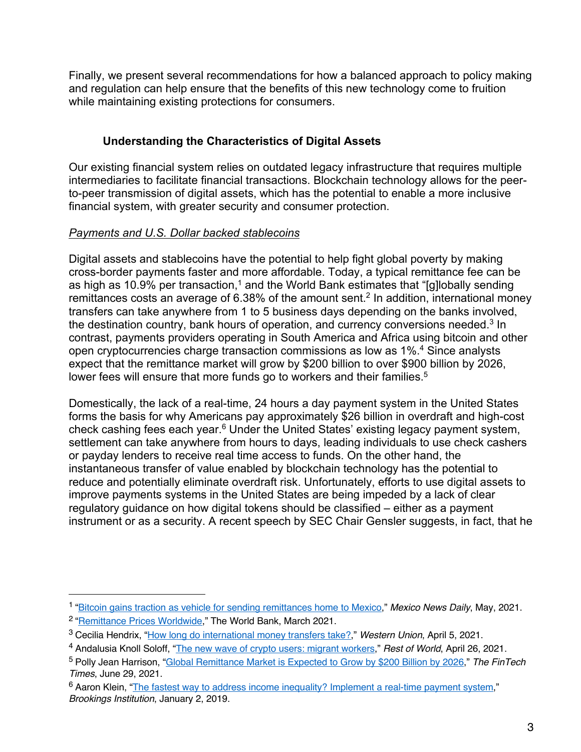Finally, we present several recommendations for how a balanced approach to policy making and regulation can help ensure that the benefits of this new technology come to fruition while maintaining existing protections for consumers.

## **Understanding the Characteristics of Digital Assets**

Our existing financial system relies on outdated legacy infrastructure that requires multiple intermediaries to facilitate financial transactions. Blockchain technology allows for the peerto-peer transmission of digital assets, which has the potential to enable a more inclusive financial system, with greater security and consumer protection.

## *Payments and U.S. Dollar backed stablecoins*

Digital assets and stablecoins have the potential to help fight global poverty by making cross-border payments faster and more affordable. Today, a typical remittance fee can be as high as 10.9% per transaction,<sup>1</sup> and the World Bank estimates that "[g]lobally sending remittances costs an average of  $6.38\%$  of the amount sent.<sup>2</sup> In addition, international money transfers can take anywhere from 1 to 5 business days depending on the banks involved, the destination country, bank hours of operation, and currency conversions needed.<sup>3</sup> In contrast, payments providers operating in South America and Africa using bitcoin and other open cryptocurrencies charge transaction commissions as low as 1%.4 Since analysts expect that the remittance market will grow by \$200 billion to over \$900 billion by 2026, lower fees will ensure that more funds go to workers and their families.<sup>5</sup>

Domestically, the lack of a real-time, 24 hours a day payment system in the United States forms the basis for why Americans pay approximately \$26 billion in overdraft and high-cost check cashing fees each year.6 Under the United States' existing legacy payment system, settlement can take anywhere from hours to days, leading individuals to use check cashers or payday lenders to receive real time access to funds. On the other hand, the instantaneous transfer of value enabled by blockchain technology has the potential to reduce and potentially eliminate overdraft risk. Unfortunately, efforts to use digital assets to improve payments systems in the United States are being impeded by a lack of clear regulatory guidance on how digital tokens should be classified – either as a payment instrument or as a security. A recent speech by SEC Chair Gensler suggests, in fact, that he

<sup>1</sup> "Bitcoin gains traction as vehicle for sending remittances home to Mexico," *Mexico News Daily*, May, 2021.

<sup>2</sup> "Remittance Prices Worldwide," The World Bank, March 2021.

<sup>3</sup> Cecilia Hendrix, "How long do international money transfers take?," *Western Union*, April 5, 2021.

<sup>4</sup> Andalusia Knoll Soloff, "The new wave of crypto users: migrant workers," *Rest of World*, April 26, 2021.

<sup>5</sup> Polly Jean Harrison, "Global Remittance Market is Expected to Grow by \$200 Billion by 2026," *The FinTech Times*, June 29, 2021.

<sup>&</sup>lt;sup>6</sup> Aaron Klein, "The fastest way to address income inequality? Implement a real-time payment system," *Brookings Institution*, January 2, 2019.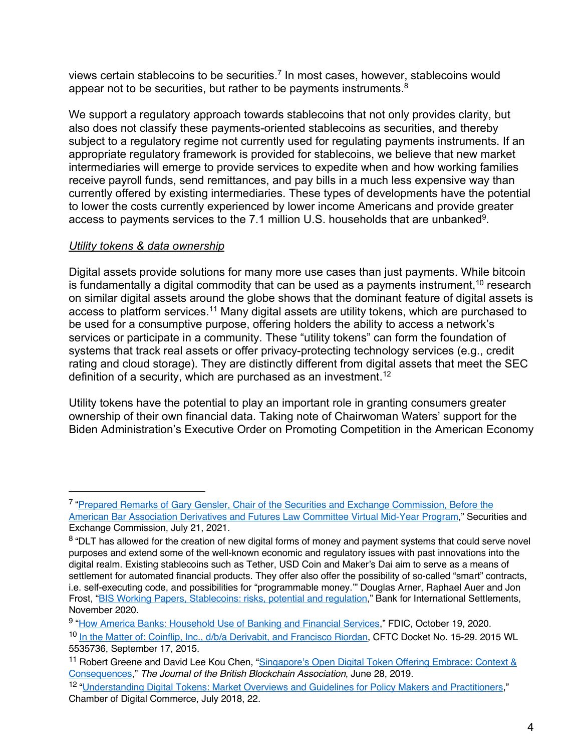views certain stablecoins to be securities.<sup>7</sup> In most cases, however, stablecoins would appear not to be securities, but rather to be payments instruments.<sup>8</sup>

We support a regulatory approach towards stablecoins that not only provides clarity, but also does not classify these payments-oriented stablecoins as securities, and thereby subject to a regulatory regime not currently used for regulating payments instruments. If an appropriate regulatory framework is provided for stablecoins, we believe that new market intermediaries will emerge to provide services to expedite when and how working families receive payroll funds, send remittances, and pay bills in a much less expensive way than currently offered by existing intermediaries. These types of developments have the potential to lower the costs currently experienced by lower income Americans and provide greater access to payments services to the 7.1 million U.S. households that are unbanked<sup>9</sup>.

## *Utility tokens & data ownership*

Digital assets provide solutions for many more use cases than just payments. While bitcoin is fundamentally a digital commodity that can be used as a payments instrument,  $10$  research on similar digital assets around the globe shows that the dominant feature of digital assets is access to platform services.<sup>11</sup> Many digital assets are utility tokens, which are purchased to be used for a consumptive purpose, offering holders the ability to access a network's services or participate in a community. These "utility tokens" can form the foundation of systems that track real assets or offer privacy-protecting technology services (e.g., credit rating and cloud storage). They are distinctly different from digital assets that meet the SEC definition of a security, which are purchased as an investment.<sup>12</sup>

Utility tokens have the potential to play an important role in granting consumers greater ownership of their own financial data. Taking note of Chairwoman Waters' support for the Biden Administration's Executive Order on Promoting Competition in the American Economy

<sup>7</sup> "Prepared Remarks of Gary Gensler, Chair of the Securities and Exchange Commission, Before the American Bar Association Derivatives and Futures Law Committee Virtual Mid-Year Program," Securities and Exchange Commission, July 21, 2021.

<sup>&</sup>lt;sup>8</sup> "DLT has allowed for the creation of new digital forms of money and payment systems that could serve novel purposes and extend some of the well-known economic and regulatory issues with past innovations into the digital realm. Existing stablecoins such as Tether, USD Coin and Maker's Dai aim to serve as a means of settlement for automated financial products. They offer also offer the possibility of so-called "smart" contracts, i.e. self-executing code, and possibilities for "programmable money.'" Douglas Arner, Raphael Auer and Jon Frost, "BIS Working Papers, Stablecoins: risks, potential and regulation," Bank for International Settlements, November 2020.

<sup>9</sup> "How America Banks: Household Use of Banking and Financial Services," FDIC, October 19, 2020.

<sup>10</sup> In the Matter of: Coinflip, Inc., d/b/a Derivabit, and Francisco Riordan, CFTC Docket No. 15-29. 2015 WL 5535736, September 17, 2015.

<sup>&</sup>lt;sup>11</sup> Robert Greene and David Lee Kou Chen, "Singapore's Open Digital Token Offering Embrace: Context & Consequences," *The Journal of the British Blockchain Association*, June 28, 2019.

<sup>12</sup> "Understanding Digital Tokens: Market Overviews and Guidelines for Policy Makers and Practitioners," Chamber of Digital Commerce, July 2018, 22.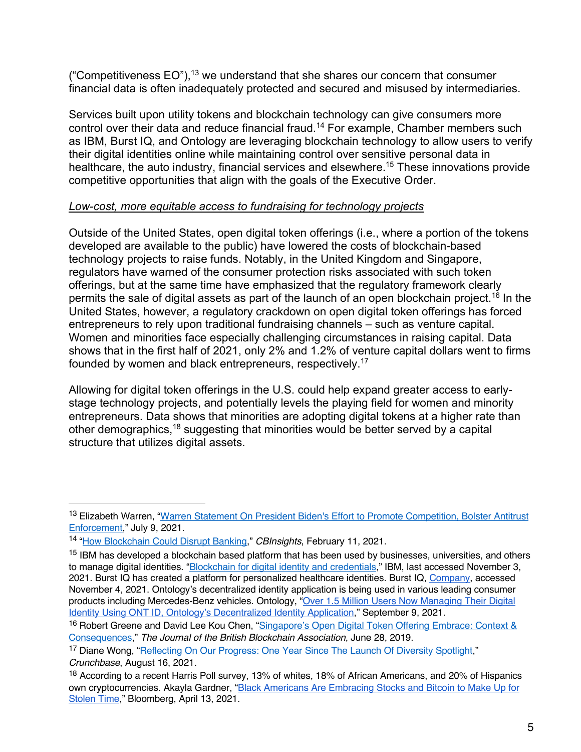("Competitiveness  $EO$ "),<sup>13</sup> we understand that she shares our concern that consumer financial data is often inadequately protected and secured and misused by intermediaries.

Services built upon utility tokens and blockchain technology can give consumers more control over their data and reduce financial fraud.<sup>14</sup> For example, Chamber members such as IBM, Burst IQ, and Ontology are leveraging blockchain technology to allow users to verify their digital identities online while maintaining control over sensitive personal data in healthcare, the auto industry, financial services and elsewhere.<sup>15</sup> These innovations provide competitive opportunities that align with the goals of the Executive Order.

#### *Low-cost, more equitable access to fundraising for technology projects*

Outside of the United States, open digital token offerings (i.e., where a portion of the tokens developed are available to the public) have lowered the costs of blockchain-based technology projects to raise funds. Notably, in the United Kingdom and Singapore, regulators have warned of the consumer protection risks associated with such token offerings, but at the same time have emphasized that the regulatory framework clearly permits the sale of digital assets as part of the launch of an open blockchain project.<sup>16</sup> In the United States, however, a regulatory crackdown on open digital token offerings has forced entrepreneurs to rely upon traditional fundraising channels – such as venture capital. Women and minorities face especially challenging circumstances in raising capital. Data shows that in the first half of 2021, only 2% and 1.2% of venture capital dollars went to firms founded by women and black entrepreneurs, respectively.17

Allowing for digital token offerings in the U.S. could help expand greater access to earlystage technology projects, and potentially levels the playing field for women and minority entrepreneurs. Data shows that minorities are adopting digital tokens at a higher rate than other demographics,18 suggesting that minorities would be better served by a capital structure that utilizes digital assets.

<sup>13</sup> Elizabeth Warren, "Warren Statement On President Biden's Effort to Promote Competition, Bolster Antitrust Enforcement," July 9, 2021.

<sup>14</sup> "How Blockchain Could Disrupt Banking," *CBInsights*, February 11, 2021.

<sup>&</sup>lt;sup>15</sup> IBM has developed a blockchain based platform that has been used by businesses, universities, and others to manage digital identities. "Blockchain for digital identity and credentials," IBM, last accessed November 3, 2021. Burst IQ has created a platform for personalized healthcare identities. Burst IQ, Company, accessed November 4, 2021. Ontology's decentralized identity application is being used in various leading consumer products including Mercedes-Benz vehicles. Ontology, "Over 1.5 Million Users Now Managing Their Digital Identity Using ONT ID, Ontology's Decentralized Identity Application," September 9, 2021.

<sup>&</sup>lt;sup>16</sup> Robert Greene and David Lee Kou Chen, "Singapore's Open Digital Token Offering Embrace: Context & Consequences," *The Journal of the British Blockchain Association*, June 28, 2019.

<sup>&</sup>lt;sup>17</sup> Diane Wong, "Reflecting On Our Progress: One Year Since The Launch Of Diversity Spotlight," *Crunchbase*, August 16, 2021.

<sup>18</sup> According to a recent Harris Poll survey, 13% of whites, 18% of African Americans, and 20% of Hispanics own cryptocurrencies. Akayla Gardner, "Black Americans Are Embracing Stocks and Bitcoin to Make Up for Stolen Time," Bloomberg, April 13, 2021.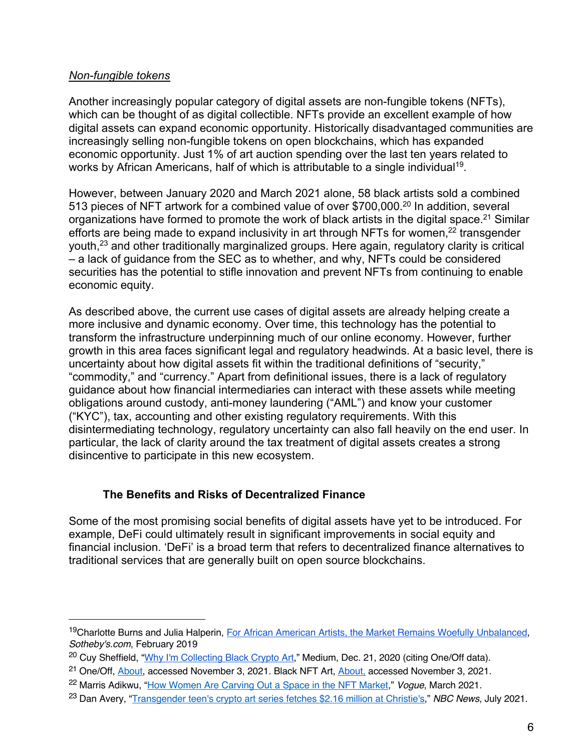#### *Non-fungible tokens*

Another increasingly popular category of digital assets are non-fungible tokens (NFTs), which can be thought of as digital collectible. NFTs provide an excellent example of how digital assets can expand economic opportunity. Historically disadvantaged communities are increasingly selling non-fungible tokens on open blockchains, which has expanded economic opportunity. Just 1% of art auction spending over the last ten years related to works by African Americans, half of which is attributable to a single individual<sup>19</sup>.

However, between January 2020 and March 2021 alone, 58 black artists sold a combined 513 pieces of NFT artwork for a combined value of over \$700,000.<sup>20</sup> In addition, several organizations have formed to promote the work of black artists in the digital space.<sup>21</sup> Similar efforts are being made to expand inclusivity in art through NFTs for women,<sup>22</sup> transgender youth,23 and other traditionally marginalized groups. Here again, regulatory clarity is critical – a lack of guidance from the SEC as to whether, and why, NFTs could be considered securities has the potential to stifle innovation and prevent NFTs from continuing to enable economic equity.

As described above, the current use cases of digital assets are already helping create a more inclusive and dynamic economy. Over time, this technology has the potential to transform the infrastructure underpinning much of our online economy. However, further growth in this area faces significant legal and regulatory headwinds. At a basic level, there is uncertainty about how digital assets fit within the traditional definitions of "security," "commodity," and "currency." Apart from definitional issues, there is a lack of regulatory guidance about how financial intermediaries can interact with these assets while meeting obligations around custody, anti-money laundering ("AML") and know your customer ("KYC"), tax, accounting and other existing regulatory requirements. With this disintermediating technology, regulatory uncertainty can also fall heavily on the end user. In particular, the lack of clarity around the tax treatment of digital assets creates a strong disincentive to participate in this new ecosystem.

## **The Benefits and Risks of Decentralized Finance**

Some of the most promising social benefits of digital assets have yet to be introduced. For example, DeFi could ultimately result in significant improvements in social equity and financial inclusion. 'DeFi' is a broad term that refers to decentralized finance alternatives to traditional services that are generally built on open source blockchains.

<sup>19</sup>Charlotte Burns and Julia Halperin, For African American Artists, the Market Remains Woefully Unbalanced, *Sotheby's.com*, February 2019

<sup>&</sup>lt;sup>20</sup> Cuy Sheffield, "Why I'm Collecting Black Crypto Art," Medium, Dec. 21, 2020 (citing One/Off data).

<sup>&</sup>lt;sup>21</sup> One/Off, About, accessed November 3, 2021. Black NFT Art, About, accessed November 3, 2021.

<sup>22</sup> Marris Adikwu, "How Women Are Carving Out a Space in the NFT Market," *Vogue*, March 2021.

<sup>23</sup> Dan Avery, "Transgender teen's crypto art series fetches \$2.16 million at Christie's," *NBC News*, July 2021.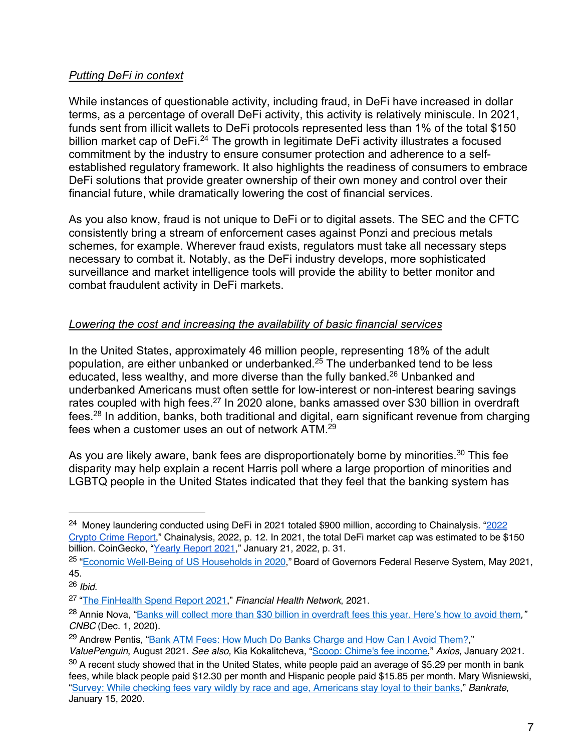## *Putting DeFi in context*

While instances of questionable activity, including fraud, in DeFi have increased in dollar terms, as a percentage of overall DeFi activity, this activity is relatively miniscule. In 2021, funds sent from illicit wallets to DeFi protocols represented less than 1% of the total \$150 billion market cap of DeFi.<sup>24</sup> The growth in legitimate DeFi activity illustrates a focused commitment by the industry to ensure consumer protection and adherence to a selfestablished regulatory framework. It also highlights the readiness of consumers to embrace DeFi solutions that provide greater ownership of their own money and control over their financial future, while dramatically lowering the cost of financial services.

As you also know, fraud is not unique to DeFi or to digital assets. The SEC and the CFTC consistently bring a stream of enforcement cases against Ponzi and precious metals schemes, for example. Wherever fraud exists, regulators must take all necessary steps necessary to combat it. Notably, as the DeFi industry develops, more sophisticated surveillance and market intelligence tools will provide the ability to better monitor and combat fraudulent activity in DeFi markets.

## *Lowering the cost and increasing the availability of basic financial services*

In the United States, approximately 46 million people, representing 18% of the adult population, are either unbanked or underbanked.25 The underbanked tend to be less educated, less wealthy, and more diverse than the fully banked.26 Unbanked and underbanked Americans must often settle for low-interest or non-interest bearing savings rates coupled with high fees.<sup>27</sup> In 2020 alone, banks amassed over \$30 billion in overdraft fees.28 In addition, banks, both traditional and digital, earn significant revenue from charging fees when a customer uses an out of network ATM.29

As you are likely aware, bank fees are disproportionately borne by minorities.<sup>30</sup> This fee disparity may help explain a recent Harris poll where a large proportion of minorities and LGBTQ people in the United States indicated that they feel that the banking system has

<sup>&</sup>lt;sup>24</sup> Money laundering conducted using DeFi in 2021 totaled \$900 million, according to Chainalysis. "2022 Crypto Crime Report," Chainalysis, 2022, p. 12. In 2021, the total DeFi market cap was estimated to be \$150 billion. CoinGecko, "Yearly Report 2021," January 21, 2022, p. 31.

<sup>25</sup> "Economic Well-Being of US Households in 2020," Board of Governors Federal Reserve System, May 2021, 45.

<sup>26</sup> *Ibid.*

<sup>27</sup> "The FinHealth Spend Report 2021," *Financial Health Network*, 2021.

<sup>28</sup> Annie Nova, "Banks will collect more than \$30 billion in overdraft fees this year. Here's how to avoid them*," CNBC* (Dec. 1, 2020).

<sup>&</sup>lt;sup>29</sup> Andrew Pentis, "Bank ATM Fees: How Much Do Banks Charge and How Can I Avoid Them?,"

*ValuePenguin*, August 2021. *See also,* Kia Kokalitcheva, "Scoop: Chime's fee income," *Axios*, January 2021. <sup>30</sup> A recent study showed that in the United States, white people paid an average of \$5.29 per month in bank fees, while black people paid \$12.30 per month and Hispanic people paid \$15.85 per month. Mary Wisniewski, "Survey: While checking fees vary wildly by race and age, Americans stay loyal to their banks," *Bankrate*, January 15, 2020.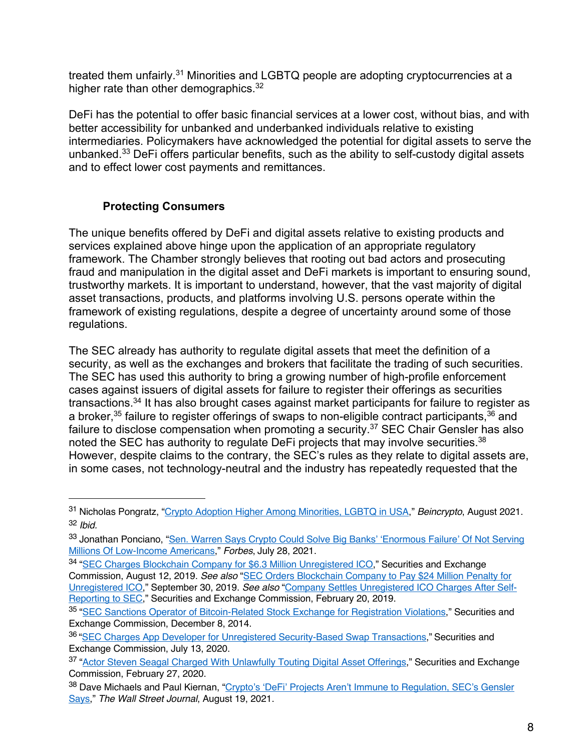treated them unfairly.<sup>31</sup> Minorities and LGBTQ people are adopting cryptocurrencies at a higher rate than other demographics.<sup>32</sup>

DeFi has the potential to offer basic financial services at a lower cost, without bias, and with better accessibility for unbanked and underbanked individuals relative to existing intermediaries. Policymakers have acknowledged the potential for digital assets to serve the unbanked. <sup>33</sup> DeFi offers particular benefits, such as the ability to self-custody digital assets and to effect lower cost payments and remittances.

## **Protecting Consumers**

The unique benefits offered by DeFi and digital assets relative to existing products and services explained above hinge upon the application of an appropriate regulatory framework. The Chamber strongly believes that rooting out bad actors and prosecuting fraud and manipulation in the digital asset and DeFi markets is important to ensuring sound, trustworthy markets. It is important to understand, however, that the vast majority of digital asset transactions, products, and platforms involving U.S. persons operate within the framework of existing regulations, despite a degree of uncertainty around some of those regulations.

The SEC already has authority to regulate digital assets that meet the definition of a security, as well as the exchanges and brokers that facilitate the trading of such securities. The SEC has used this authority to bring a growing number of high-profile enforcement cases against issuers of digital assets for failure to register their offerings as securities transactions.34 It has also brought cases against market participants for failure to register as a broker,  $35$  failure to register offerings of swaps to non-eligible contract participants,  $36$  and failure to disclose compensation when promoting a security.<sup>37</sup> SEC Chair Gensler has also noted the SEC has authority to regulate DeFi projects that may involve securities.<sup>38</sup> However, despite claims to the contrary, the SEC's rules as they relate to digital assets are, in some cases, not technology-neutral and the industry has repeatedly requested that the

<sup>31</sup> Nicholas Pongratz, "Crypto Adoption Higher Among Minorities, LGBTQ in USA," *Beincrypto*, August 2021. <sup>32</sup> *Ibid.* 

<sup>&</sup>lt;sup>33</sup> Jonathan Ponciano, "Sen. Warren Says Crypto Could Solve Big Banks' 'Enormous Failure' Of Not Serving Millions Of Low-Income Americans," *Forbes*, July 28, 2021.

<sup>34</sup> "SEC Charges Blockchain Company for \$6.3 Million Unregistered ICO," Securities and Exchange Commission, August 12, 2019. *See also* "SEC Orders Blockchain Company to Pay \$24 Million Penalty for Unregistered ICO," September 30, 2019. *See also* "Company Settles Unregistered ICO Charges After Self-Reporting to SEC," Securities and Exchange Commission, February 20, 2019.

<sup>35</sup> "SEC Sanctions Operator of Bitcoin-Related Stock Exchange for Registration Violations," Securities and Exchange Commission, December 8, 2014.

<sup>36 &</sup>quot;SEC Charges App Developer for Unregistered Security-Based Swap Transactions," Securities and Exchange Commission, July 13, 2020.

<sup>37 &</sup>quot;Actor Steven Seagal Charged With Unlawfully Touting Digital Asset Offerings," Securities and Exchange Commission, February 27, 2020.

<sup>38</sup> Dave Michaels and Paul Kiernan, "Crypto's 'DeFi' Projects Aren't Immune to Regulation, SEC's Gensler Says," *The Wall Street Journal*, August 19, 2021.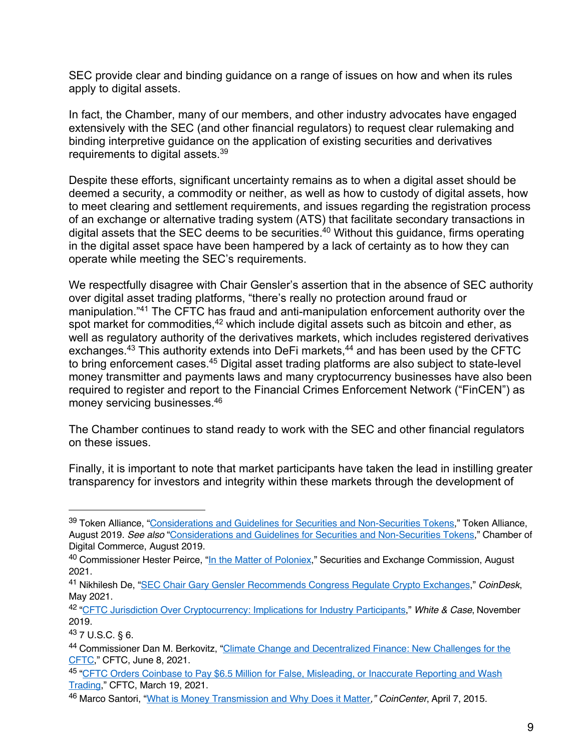SEC provide clear and binding guidance on a range of issues on how and when its rules apply to digital assets.

In fact, the Chamber, many of our members, and other industry advocates have engaged extensively with the SEC (and other financial regulators) to request clear rulemaking and binding interpretive guidance on the application of existing securities and derivatives requirements to digital assets.39

Despite these efforts, significant uncertainty remains as to when a digital asset should be deemed a security, a commodity or neither, as well as how to custody of digital assets, how to meet clearing and settlement requirements, and issues regarding the registration process of an exchange or alternative trading system (ATS) that facilitate secondary transactions in digital assets that the SEC deems to be securities.<sup>40</sup> Without this guidance, firms operating in the digital asset space have been hampered by a lack of certainty as to how they can operate while meeting the SEC's requirements.

We respectfully disagree with Chair Gensler's assertion that in the absence of SEC authority over digital asset trading platforms, "there's really no protection around fraud or manipulation."41 The CFTC has fraud and anti-manipulation enforcement authority over the spot market for commodities,<sup>42</sup> which include digital assets such as bitcoin and ether, as well as regulatory authority of the derivatives markets, which includes registered derivatives exchanges.<sup>43</sup> This authority extends into DeFi markets,<sup>44</sup> and has been used by the CFTC to bring enforcement cases.45 Digital asset trading platforms are also subject to state-level money transmitter and payments laws and many cryptocurrency businesses have also been required to register and report to the Financial Crimes Enforcement Network ("FinCEN") as money servicing businesses. 46

The Chamber continues to stand ready to work with the SEC and other financial regulators on these issues.

Finally, it is important to note that market participants have taken the lead in instilling greater transparency for investors and integrity within these markets through the development of

<sup>39</sup> Token Alliance, "Considerations and Guidelines for Securities and Non-Securities Tokens," Token Alliance, August 2019. *See also* "Considerations and Guidelines for Securities and Non-Securities Tokens," Chamber of Digital Commerce, August 2019.

<sup>&</sup>lt;sup>40</sup> Commissioner Hester Peirce, "In the Matter of Poloniex," Securities and Exchange Commission, August 2021.

<sup>41</sup> Nikhilesh De, "SEC Chair Gary Gensler Recommends Congress Regulate Crypto Exchanges," *CoinDesk*, May 2021.

<sup>42</sup> "CFTC Jurisdiction Over Cryptocurrency: Implications for Industry Participants," *White & Case*, November 2019.

<sup>43</sup> 7 U.S.C. § 6.

<sup>44</sup> Commissioner Dan M. Berkovitz, "Climate Change and Decentralized Finance: New Challenges for the CFTC," CFTC, June 8, 2021.

<sup>45</sup> "CFTC Orders Coinbase to Pay \$6.5 Million for False, Misleading, or Inaccurate Reporting and Wash Trading," CFTC, March 19, 2021.

<sup>46</sup> Marco Santori, "What is Money Transmission and Why Does it Matter*," CoinCenter*, April 7, 2015.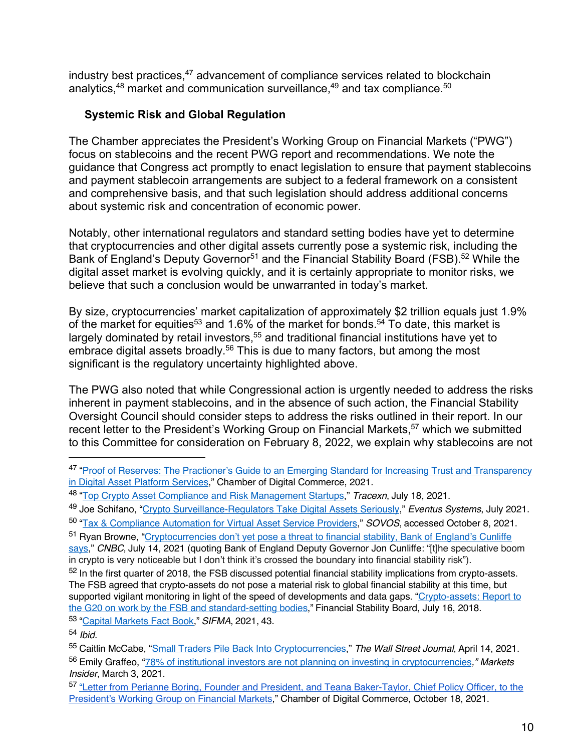industry best practices,<sup>47</sup> advancement of compliance services related to blockchain analytics, $48$  market and communication surveillance, $49$  and tax compliance. $50$ 

## **Systemic Risk and Global Regulation**

The Chamber appreciates the President's Working Group on Financial Markets ("PWG") focus on stablecoins and the recent PWG report and recommendations. We note the guidance that Congress act promptly to enact legislation to ensure that payment stablecoins and payment stablecoin arrangements are subject to a federal framework on a consistent and comprehensive basis, and that such legislation should address additional concerns about systemic risk and concentration of economic power.

Notably, other international regulators and standard setting bodies have yet to determine that cryptocurrencies and other digital assets currently pose a systemic risk, including the Bank of England's Deputy Governor<sup>51</sup> and the Financial Stability Board (FSB).<sup>52</sup> While the digital asset market is evolving quickly, and it is certainly appropriate to monitor risks, we believe that such a conclusion would be unwarranted in today's market.

By size, cryptocurrencies' market capitalization of approximately \$2 trillion equals just 1.9% of the market for equities<sup>53</sup> and 1.6% of the market for bonds.<sup>54</sup> To date, this market is largely dominated by retail investors, $55$  and traditional financial institutions have yet to embrace digital assets broadly.<sup>56</sup> This is due to many factors, but among the most significant is the regulatory uncertainty highlighted above.

The PWG also noted that while Congressional action is urgently needed to address the risks inherent in payment stablecoins, and in the absence of such action, the Financial Stability Oversight Council should consider steps to address the risks outlined in their report. In our recent letter to the President's Working Group on Financial Markets,<sup>57</sup> which we submitted to this Committee for consideration on February 8, 2022, we explain why stablecoins are not

<sup>47 &</sup>quot;Proof of Reserves: The Practioner's Guide to an Emerging Standard for Increasing Trust and Transparency in Digital Asset Platform Services," Chamber of Digital Commerce, 2021.

<sup>48</sup> "Top Crypto Asset Compliance and Risk Management Startups," *Tracexn*, July 18, 2021.

<sup>49</sup> Joe Schifano, "Crypto Surveillance-Regulators Take Digital Assets Seriously," *Eventus Systems*, July 2021.

<sup>50</sup> "Tax & Compliance Automation for Virtual Asset Service Providers," *SOVOS*, accessed October 8, 2021.

<sup>51</sup> Ryan Browne, "Cryptocurrencies don't yet pose a threat to financial stability, Bank of England's Cunliffe

says," *CNBC*, July 14, 2021 (quoting Bank of England Deputy Governor Jon Cunliffe: "[t]he speculative boom in crypto is very noticeable but I don't think it's crossed the boundary into financial stability risk").

<sup>&</sup>lt;sup>52</sup> In the first quarter of 2018, the FSB discussed potential financial stability implications from crypto-assets. The FSB agreed that crypto-assets do not pose a material risk to global financial stability at this time, but supported vigilant monitoring in light of the speed of developments and data gaps. "Crypto-assets: Report to the G20 on work by the FSB and standard-setting bodies," Financial Stability Board, July 16, 2018. <sup>53</sup> "Capital Markets Fact Book," *SIFMA*, 2021, 43.

<sup>54</sup> *Ibid.* 

<sup>55</sup> Caitlin McCabe, "Small Traders Pile Back Into Cryptocurrencies," *The Wall Street Journal*, April 14, 2021. <sup>56</sup> Emily Graffeo, "78% of institutional investors are not planning on investing in cryptocurrencies*," Markets Insider*, March 3, 2021.

<sup>57 &</sup>quot;Letter from Perianne Boring, Founder and President, and Teana Baker-Taylor, Chief Policy Officer, to the President's Working Group on Financial Markets," Chamber of Digital Commerce, October 18, 2021.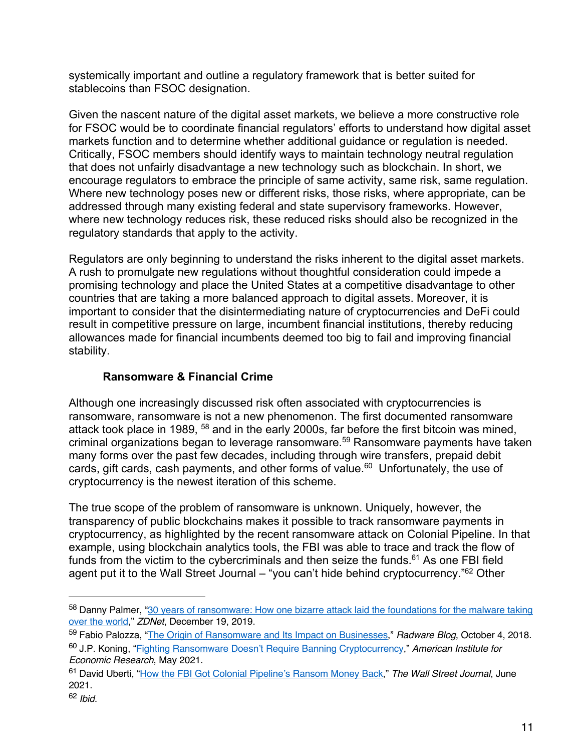systemically important and outline a regulatory framework that is better suited for stablecoins than FSOC designation.

Given the nascent nature of the digital asset markets, we believe a more constructive role for FSOC would be to coordinate financial regulators' efforts to understand how digital asset markets function and to determine whether additional guidance or regulation is needed. Critically, FSOC members should identify ways to maintain technology neutral regulation that does not unfairly disadvantage a new technology such as blockchain. In short, we encourage regulators to embrace the principle of same activity, same risk, same regulation. Where new technology poses new or different risks, those risks, where appropriate, can be addressed through many existing federal and state supervisory frameworks. However, where new technology reduces risk, these reduced risks should also be recognized in the regulatory standards that apply to the activity.

Regulators are only beginning to understand the risks inherent to the digital asset markets. A rush to promulgate new regulations without thoughtful consideration could impede a promising technology and place the United States at a competitive disadvantage to other countries that are taking a more balanced approach to digital assets. Moreover, it is important to consider that the disintermediating nature of cryptocurrencies and DeFi could result in competitive pressure on large, incumbent financial institutions, thereby reducing allowances made for financial incumbents deemed too big to fail and improving financial stability.

## **Ransomware & Financial Crime**

Although one increasingly discussed risk often associated with cryptocurrencies is ransomware, ransomware is not a new phenomenon. The first documented ransomware attack took place in 1989, <sup>58</sup> and in the early 2000s, far before the first bitcoin was mined, criminal organizations began to leverage ransomware.59 Ransomware payments have taken many forms over the past few decades, including through wire transfers, prepaid debit cards, gift cards, cash payments, and other forms of value.<sup>60</sup> Unfortunately, the use of cryptocurrency is the newest iteration of this scheme.

The true scope of the problem of ransomware is unknown. Uniquely, however, the transparency of public blockchains makes it possible to track ransomware payments in cryptocurrency, as highlighted by the recent ransomware attack on Colonial Pipeline. In that example, using blockchain analytics tools, the FBI was able to trace and track the flow of funds from the victim to the cybercriminals and then seize the funds. $61$  As one FBI field agent put it to the Wall Street Journal – "you can't hide behind cryptocurrency."<sup>62</sup> Other

<sup>58</sup> Danny Palmer, "30 years of ransomware: How one bizarre attack laid the foundations for the malware taking over the world," *ZDNet*, December 19, 2019.

<sup>59</sup> Fabio Palozza, "The Origin of Ransomware and Its Impact on Businesses," *Radware Blog*, October 4, 2018.

<sup>60</sup> J.P. Koning, "Fighting Ransomware Doesn't Require Banning Cryptocurrency," *American Institute for Economic Research*, May 2021.

<sup>61</sup> David Uberti, "How the FBI Got Colonial Pipeline's Ransom Money Back," *The Wall Street Journal*, June 2021.

<sup>62</sup> *Ibid.*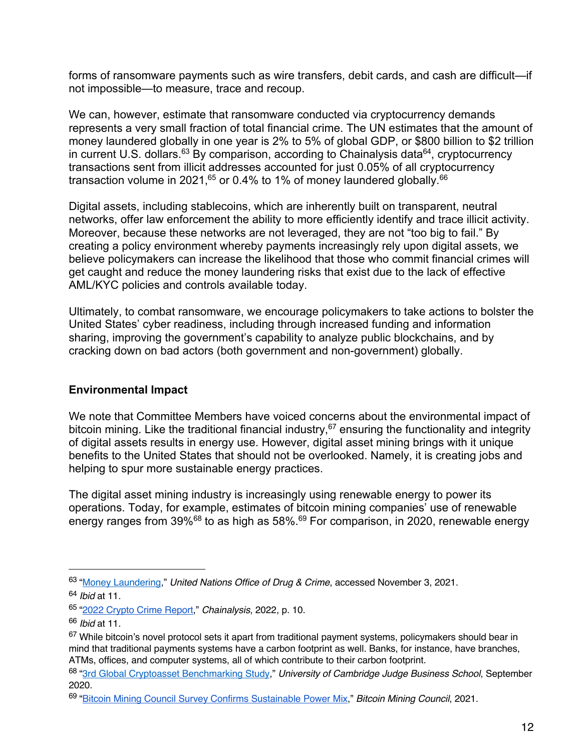forms of ransomware payments such as wire transfers, debit cards, and cash are difficult—if not impossible—to measure, trace and recoup.

We can, however, estimate that ransomware conducted via cryptocurrency demands represents a very small fraction of total financial crime. The UN estimates that the amount of money laundered globally in one year is 2% to 5% of global GDP, or \$800 billion to \$2 trillion in current U.S. dollars.<sup>63</sup> By comparison, according to Chainalysis data<sup>64</sup>, cryptocurrency transactions sent from illicit addresses accounted for just 0.05% of all cryptocurrency transaction volume in 2021,<sup>65</sup> or 0.4% to 1% of money laundered globally.<sup>66</sup>

Digital assets, including stablecoins, which are inherently built on transparent, neutral networks, offer law enforcement the ability to more efficiently identify and trace illicit activity. Moreover, because these networks are not leveraged, they are not "too big to fail." By creating a policy environment whereby payments increasingly rely upon digital assets, we believe policymakers can increase the likelihood that those who commit financial crimes will get caught and reduce the money laundering risks that exist due to the lack of effective AML/KYC policies and controls available today.

Ultimately, to combat ransomware, we encourage policymakers to take actions to bolster the United States' cyber readiness, including through increased funding and information sharing, improving the government's capability to analyze public blockchains, and by cracking down on bad actors (both government and non-government) globally.

## **Environmental Impact**

We note that Committee Members have voiced concerns about the environmental impact of bitcoin mining. Like the traditional financial industry,  $67$  ensuring the functionality and integrity of digital assets results in energy use. However, digital asset mining brings with it unique benefits to the United States that should not be overlooked. Namely, it is creating jobs and helping to spur more sustainable energy practices.

The digital asset mining industry is increasingly using renewable energy to power its operations. Today, for example, estimates of bitcoin mining companies' use of renewable energy ranges from 39%68 to as high as 58%.69 For comparison, in 2020, renewable energy

<sup>63</sup> "Money Laundering," *United Nations Office of Drug & Crime*, accessed November 3, 2021. <sup>64</sup> *Ibid* at 11.

<sup>65</sup> "2022 Crypto Crime Report," *Chainalysis*, 2022, p. 10.

<sup>66</sup> *Ibid* at 11.

<sup>&</sup>lt;sup>67</sup> While bitcoin's novel protocol sets it apart from traditional payment systems, policymakers should bear in mind that traditional payments systems have a carbon footprint as well. Banks, for instance, have branches, ATMs, offices, and computer systems, all of which contribute to their carbon footprint.

<sup>68</sup> "3rd Global Cryptoasset Benchmarking Study," *University of Cambridge Judge Business School*, September 2020.

<sup>69</sup> "Bitcoin Mining Council Survey Confirms Sustainable Power Mix," *Bitcoin Mining Council*, 2021.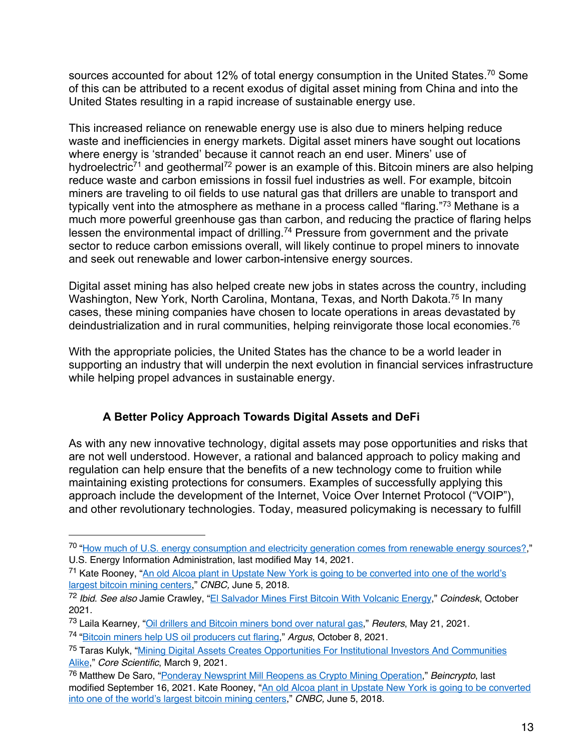sources accounted for about 12% of total energy consumption in the United States.<sup>70</sup> Some of this can be attributed to a recent exodus of digital asset mining from China and into the United States resulting in a rapid increase of sustainable energy use.

This increased reliance on renewable energy use is also due to miners helping reduce waste and inefficiencies in energy markets. Digital asset miners have sought out locations where energy is 'stranded' because it cannot reach an end user. Miners' use of hydroelectric<sup>71</sup> and geothermal<sup>72</sup> power is an example of this. Bitcoin miners are also helping reduce waste and carbon emissions in fossil fuel industries as well. For example, bitcoin miners are traveling to oil fields to use natural gas that drillers are unable to transport and typically vent into the atmosphere as methane in a process called "flaring."<sup>73</sup> Methane is a much more powerful greenhouse gas than carbon, and reducing the practice of flaring helps lessen the environmental impact of drilling.<sup>74</sup> Pressure from government and the private sector to reduce carbon emissions overall, will likely continue to propel miners to innovate and seek out renewable and lower carbon-intensive energy sources.

Digital asset mining has also helped create new jobs in states across the country, including Washington, New York, North Carolina, Montana, Texas, and North Dakota.<sup>75</sup> In many cases, these mining companies have chosen to locate operations in areas devastated by deindustrialization and in rural communities, helping reinvigorate those local economies.<sup>76</sup>

With the appropriate policies, the United States has the chance to be a world leader in supporting an industry that will underpin the next evolution in financial services infrastructure while helping propel advances in sustainable energy.

# **A Better Policy Approach Towards Digital Assets and DeFi**

As with any new innovative technology, digital assets may pose opportunities and risks that are not well understood. However, a rational and balanced approach to policy making and regulation can help ensure that the benefits of a new technology come to fruition while maintaining existing protections for consumers. Examples of successfully applying this approach include the development of the Internet, Voice Over Internet Protocol ("VOIP"), and other revolutionary technologies. Today, measured policymaking is necessary to fulfill

<sup>70</sup> "How much of U.S. energy consumption and electricity generation comes from renewable energy sources?," U.S. Energy Information Administration, last modified May 14, 2021.

<sup>&</sup>lt;sup>71</sup> Kate Rooney, "An old Alcoa plant in Upstate New York is going to be converted into one of the world's largest bitcoin mining centers," *CNBC,* June 5, 2018.

<sup>72</sup> *Ibid*. *See also* Jamie Crawley, "El Salvador Mines First Bitcoin With Volcanic Energy," *Coindesk*, October 2021.

<sup>73</sup> Laila Kearney*,* "Oil drillers and Bitcoin miners bond over natural gas," *Reuters*, May 21, 2021.

<sup>74</sup> "Bitcoin miners help US oil producers cut flaring," *Argus*, October 8, 2021.

<sup>75</sup> Taras Kulyk, "Mining Digital Assets Creates Opportunities For Institutional Investors And Communities Alike," *Core Scientific*, March 9, 2021.

<sup>76</sup> Matthew De Saro, "Ponderay Newsprint Mill Reopens as Crypto Mining Operation," *Beincrypto*, last modified September 16, 2021. Kate Rooney, "An old Alcoa plant in Upstate New York is going to be converted into one of the world's largest bitcoin mining centers," *CNBC,* June 5, 2018.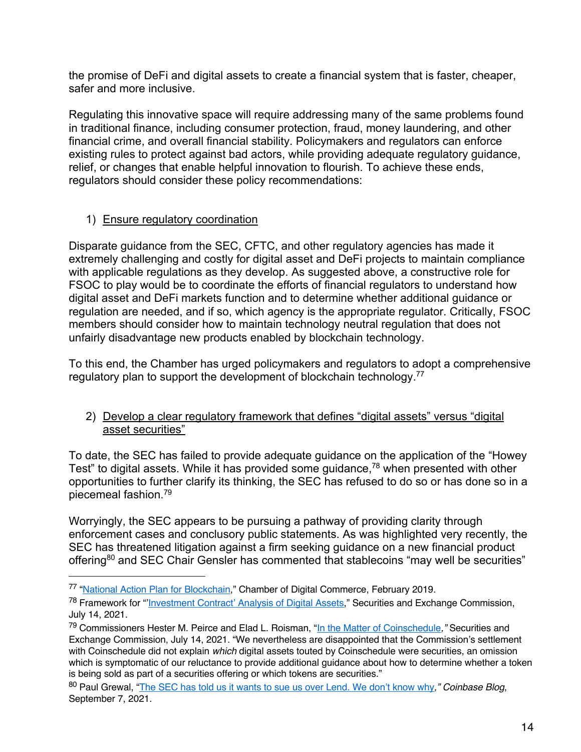the promise of DeFi and digital assets to create a financial system that is faster, cheaper, safer and more inclusive.

Regulating this innovative space will require addressing many of the same problems found in traditional finance, including consumer protection, fraud, money laundering, and other financial crime, and overall financial stability. Policymakers and regulators can enforce existing rules to protect against bad actors, while providing adequate regulatory guidance, relief, or changes that enable helpful innovation to flourish. To achieve these ends, regulators should consider these policy recommendations:

## 1) Ensure regulatory coordination

Disparate guidance from the SEC, CFTC, and other regulatory agencies has made it extremely challenging and costly for digital asset and DeFi projects to maintain compliance with applicable regulations as they develop. As suggested above, a constructive role for FSOC to play would be to coordinate the efforts of financial regulators to understand how digital asset and DeFi markets function and to determine whether additional guidance or regulation are needed, and if so, which agency is the appropriate regulator. Critically, FSOC members should consider how to maintain technology neutral regulation that does not unfairly disadvantage new products enabled by blockchain technology.

To this end, the Chamber has urged policymakers and regulators to adopt a comprehensive regulatory plan to support the development of blockchain technology.<sup>77</sup>

## 2) Develop a clear regulatory framework that defines "digital assets" versus "digital asset securities"

To date, the SEC has failed to provide adequate guidance on the application of the "Howey Test" to digital assets. While it has provided some guidance,<sup>78</sup> when presented with other opportunities to further clarify its thinking, the SEC has refused to do so or has done so in a piecemeal fashion.79

Worryingly, the SEC appears to be pursuing a pathway of providing clarity through enforcement cases and conclusory public statements. As was highlighted very recently, the SEC has threatened litigation against a firm seeking guidance on a new financial product offering<sup>80</sup> and SEC Chair Gensler has commented that stablecoins "may well be securities"

<sup>&</sup>lt;sup>77</sup> "National Action Plan for Blockchain," Chamber of Digital Commerce, February 2019.

<sup>&</sup>lt;sup>78</sup> Framework for "'Investment Contract' Analysis of Digital Assets," Securities and Exchange Commission, July 14, 2021.

<sup>79</sup> Commissioners Hester M. Peirce and Elad L. Roisman, "In the Matter of Coinschedule*,"* Securities and Exchange Commission, July 14, 2021. "We nevertheless are disappointed that the Commission's settlement with Coinschedule did not explain *which* digital assets touted by Coinschedule were securities, an omission which is symptomatic of our reluctance to provide additional guidance about how to determine whether a token is being sold as part of a securities offering or which tokens are securities."

<sup>80</sup> Paul Grewal, "The SEC has told us it wants to sue us over Lend. We don't know why*," Coinbase Blog*, September 7, 2021.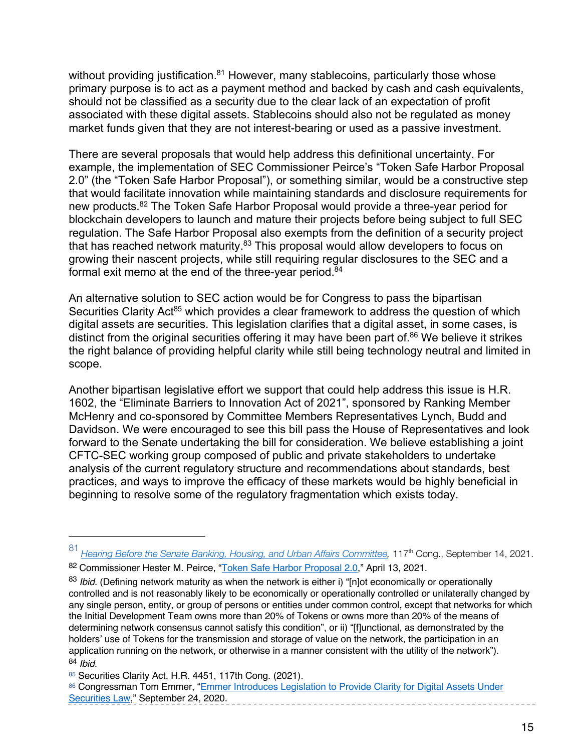without providing justification.<sup>81</sup> However, many stablecoins, particularly those whose primary purpose is to act as a payment method and backed by cash and cash equivalents, should not be classified as a security due to the clear lack of an expectation of profit associated with these digital assets. Stablecoins should also not be regulated as money market funds given that they are not interest-bearing or used as a passive investment.

There are several proposals that would help address this definitional uncertainty. For example, the implementation of SEC Commissioner Peirce's "Token Safe Harbor Proposal 2.0" (the "Token Safe Harbor Proposal"), or something similar, would be a constructive step that would facilitate innovation while maintaining standards and disclosure requirements for new products.82 The Token Safe Harbor Proposal would provide a three-year period for blockchain developers to launch and mature their projects before being subject to full SEC regulation. The Safe Harbor Proposal also exempts from the definition of a security project that has reached network maturity.<sup>83</sup> This proposal would allow developers to focus on growing their nascent projects, while still requiring regular disclosures to the SEC and a formal exit memo at the end of the three-year period. $84$ 

An alternative solution to SEC action would be for Congress to pass the bipartisan Securities Clarity Act<sup>85</sup> which provides a clear framework to address the question of which digital assets are securities. This legislation clarifies that a digital asset, in some cases, is distinct from the original securities offering it may have been part of.<sup>86</sup> We believe it strikes the right balance of providing helpful clarity while still being technology neutral and limited in scope.

Another bipartisan legislative effort we support that could help address this issue is H.R. 1602, the "Eliminate Barriers to Innovation Act of 2021", sponsored by Ranking Member McHenry and co-sponsored by Committee Members Representatives Lynch, Budd and Davidson. We were encouraged to see this bill pass the House of Representatives and look forward to the Senate undertaking the bill for consideration. We believe establishing a joint CFTC-SEC working group composed of public and private stakeholders to undertake analysis of the current regulatory structure and recommendations about standards, best practices, and ways to improve the efficacy of these markets would be highly beneficial in beginning to resolve some of the regulatory fragmentation which exists today.

<sup>81</sup> *Hearing Before the Senate Banking, Housing, and Urban Affairs Committee,* 117th Cong., September 14, 2021. 82 Commissioner Hester M. Peirce, "Token Safe Harbor Proposal 2.0," April 13, 2021.

<sup>83</sup> *Ibid.* (Defining network maturity as when the network is either i) "[n]ot economically or operationally

controlled and is not reasonably likely to be economically or operationally controlled or unilaterally changed by any single person, entity, or group of persons or entities under common control, except that networks for which the Initial Development Team owns more than 20% of Tokens or owns more than 20% of the means of determining network consensus cannot satisfy this condition", or ii) "[f]unctional, as demonstrated by the holders' use of Tokens for the transmission and storage of value on the network, the participation in an application running on the network, or otherwise in a manner consistent with the utility of the network"). <sup>84</sup> *Ibid.* 

<sup>85</sup> Securities Clarity Act, H.R. 4451, 117th Cong. (2021).

<sup>86</sup> Congressman Tom Emmer, "Emmer Introduces Legislation to Provide Clarity for Digital Assets Under Securities Law," September 24, 2020.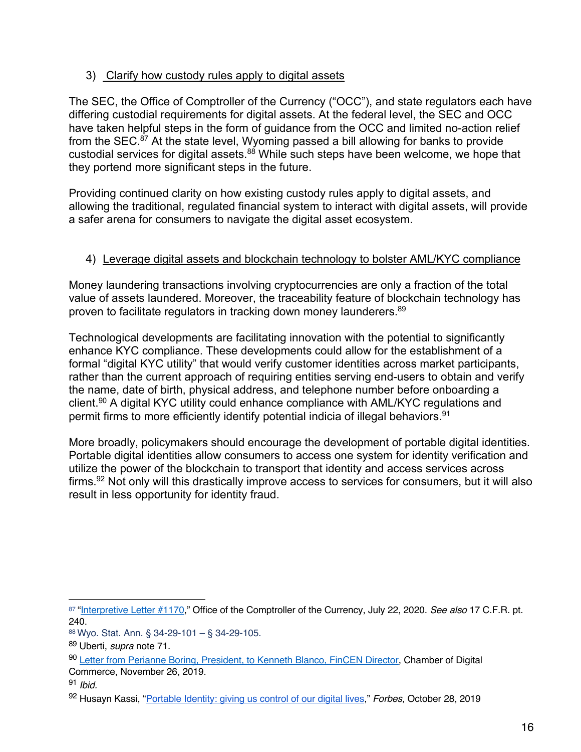## 3) Clarify how custody rules apply to digital assets

The SEC, the Office of Comptroller of the Currency ("OCC"), and state regulators each have differing custodial requirements for digital assets. At the federal level, the SEC and OCC have taken helpful steps in the form of guidance from the OCC and limited no-action relief from the SEC.<sup>87</sup> At the state level, Wyoming passed a bill allowing for banks to provide custodial services for digital assets. $88$  While such steps have been welcome, we hope that they portend more significant steps in the future.

Providing continued clarity on how existing custody rules apply to digital assets, and allowing the traditional, regulated financial system to interact with digital assets, will provide a safer arena for consumers to navigate the digital asset ecosystem.

## 4) Leverage digital assets and blockchain technology to bolster AML/KYC compliance

Money laundering transactions involving cryptocurrencies are only a fraction of the total value of assets laundered. Moreover, the traceability feature of blockchain technology has proven to facilitate regulators in tracking down money launderers.<sup>89</sup>

Technological developments are facilitating innovation with the potential to significantly enhance KYC compliance. These developments could allow for the establishment of a formal "digital KYC utility" that would verify customer identities across market participants, rather than the current approach of requiring entities serving end-users to obtain and verify the name, date of birth, physical address, and telephone number before onboarding a client.90 A digital KYC utility could enhance compliance with AML/KYC regulations and permit firms to more efficiently identify potential indicia of illegal behaviors.<sup>91</sup>

More broadly, policymakers should encourage the development of portable digital identities. Portable digital identities allow consumers to access one system for identity verification and utilize the power of the blockchain to transport that identity and access services across firms.<sup>92</sup> Not only will this drastically improve access to services for consumers, but it will also result in less opportunity for identity fraud.

<sup>91</sup> *Ibid.* 

<sup>87</sup> "Interpretive Letter #1170," Office of the Comptroller of the Currency, July 22, 2020. *See also* 17 C.F.R. pt. 240.

<sup>88</sup> Wyo. Stat. Ann. § 34-29-101 – § 34-29-105.

<sup>89</sup> Uberti, *supra* note 71.

<sup>90</sup> Letter from Perianne Boring, President, to Kenneth Blanco, FinCEN Director, Chamber of Digital Commerce, November 26, 2019.

<sup>92</sup> Husayn Kassi, "Portable Identity: giving us control of our digital lives," *Forbes,* October 28, 2019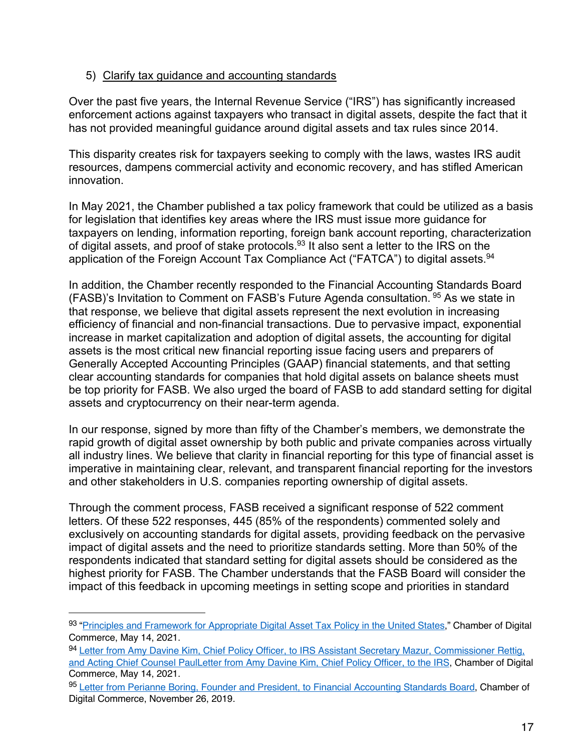#### 5) Clarify tax guidance and accounting standards

Over the past five years, the Internal Revenue Service ("IRS") has significantly increased enforcement actions against taxpayers who transact in digital assets, despite the fact that it has not provided meaningful guidance around digital assets and tax rules since 2014.

This disparity creates risk for taxpayers seeking to comply with the laws, wastes IRS audit resources, dampens commercial activity and economic recovery, and has stifled American innovation.

In May 2021, the Chamber published a tax policy framework that could be utilized as a basis for legislation that identifies key areas where the IRS must issue more guidance for taxpayers on lending, information reporting, foreign bank account reporting, characterization of digital assets, and proof of stake protocols.93 It also sent a letter to the IRS on the application of the Foreign Account Tax Compliance Act ("FATCA") to digital assets.<sup>94</sup>

In addition, the Chamber recently responded to the Financial Accounting Standards Board (FASB)'s Invitation to Comment on FASB's Future Agenda consultation. <sup>95</sup> As we state in that response, we believe that digital assets represent the next evolution in increasing efficiency of financial and non-financial transactions. Due to pervasive impact, exponential increase in market capitalization and adoption of digital assets, the accounting for digital assets is the most critical new financial reporting issue facing users and preparers of Generally Accepted Accounting Principles (GAAP) financial statements, and that setting clear accounting standards for companies that hold digital assets on balance sheets must be top priority for FASB. We also urged the board of FASB to add standard setting for digital assets and cryptocurrency on their near-term agenda.

In our response, signed by more than fifty of the Chamber's members, we demonstrate the rapid growth of digital asset ownership by both public and private companies across virtually all industry lines. We believe that clarity in financial reporting for this type of financial asset is imperative in maintaining clear, relevant, and transparent financial reporting for the investors and other stakeholders in U.S. companies reporting ownership of digital assets.

Through the comment process, FASB received a significant response of 522 comment letters. Of these 522 responses, 445 (85% of the respondents) commented solely and exclusively on accounting standards for digital assets, providing feedback on the pervasive impact of digital assets and the need to prioritize standards setting. More than 50% of the respondents indicated that standard setting for digital assets should be considered as the highest priority for FASB. The Chamber understands that the FASB Board will consider the impact of this feedback in upcoming meetings in setting scope and priorities in standard

<sup>93 &</sup>quot;Principles and Framework for Appropriate Digital Asset Tax Policy in the United States," Chamber of Digital Commerce, May 14, 2021.

<sup>94</sup> Letter from Amy Davine Kim, Chief Policy Officer, to IRS Assistant Secretary Mazur, Commissioner Rettig, and Acting Chief Counsel PaulLetter from Amy Davine Kim, Chief Policy Officer, to the IRS, Chamber of Digital Commerce, May 14, 2021.

<sup>95</sup> Letter from Perianne Boring, Founder and President, to Financial Accounting Standards Board, Chamber of Digital Commerce, November 26, 2019.